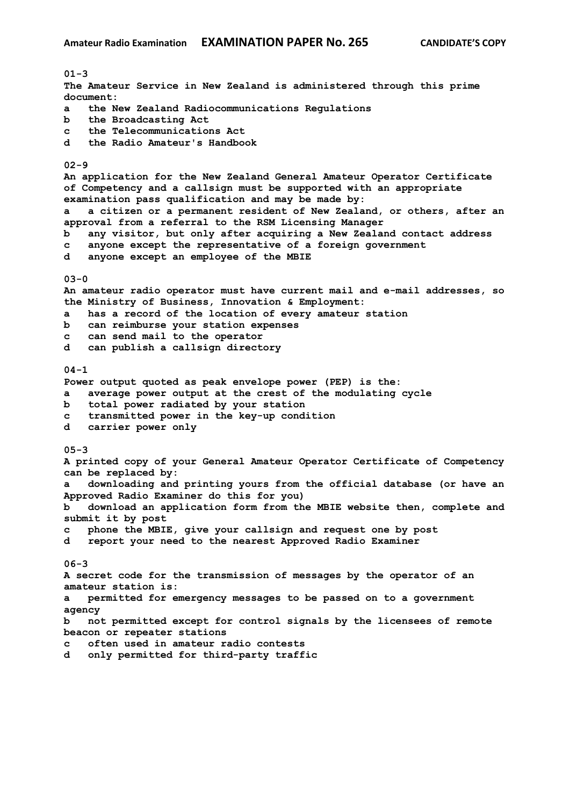**01-3 The Amateur Service in New Zealand is administered through this prime document: a the New Zealand Radiocommunications Regulations b the Broadcasting Act c the Telecommunications Act d the Radio Amateur's Handbook 02-9 An application for the New Zealand General Amateur Operator Certificate of Competency and a callsign must be supported with an appropriate examination pass qualification and may be made by: a a citizen or a permanent resident of New Zealand, or others, after an approval from a referral to the RSM Licensing Manager b any visitor, but only after acquiring a New Zealand contact address c anyone except the representative of a foreign government d anyone except an employee of the MBIE 03-0 An amateur radio operator must have current mail and e-mail addresses, so the Ministry of Business, Innovation & Employment: a has a record of the location of every amateur station b can reimburse your station expenses c can send mail to the operator d can publish a callsign directory 04-1 Power output quoted as peak envelope power (PEP) is the: a average power output at the crest of the modulating cycle b total power radiated by your station c transmitted power in the key-up condition d carrier power only 05-3 A printed copy of your General Amateur Operator Certificate of Competency can be replaced by: a downloading and printing yours from the official database (or have an Approved Radio Examiner do this for you) b download an application form from the MBIE website then, complete and submit it by post c phone the MBIE, give your callsign and request one by post d report your need to the nearest Approved Radio Examiner 06-3 A secret code for the transmission of messages by the operator of an amateur station is: a permitted for emergency messages to be passed on to a government agency b not permitted except for control signals by the licensees of remote beacon or repeater stations c often used in amateur radio contests d only permitted for third-party traffic**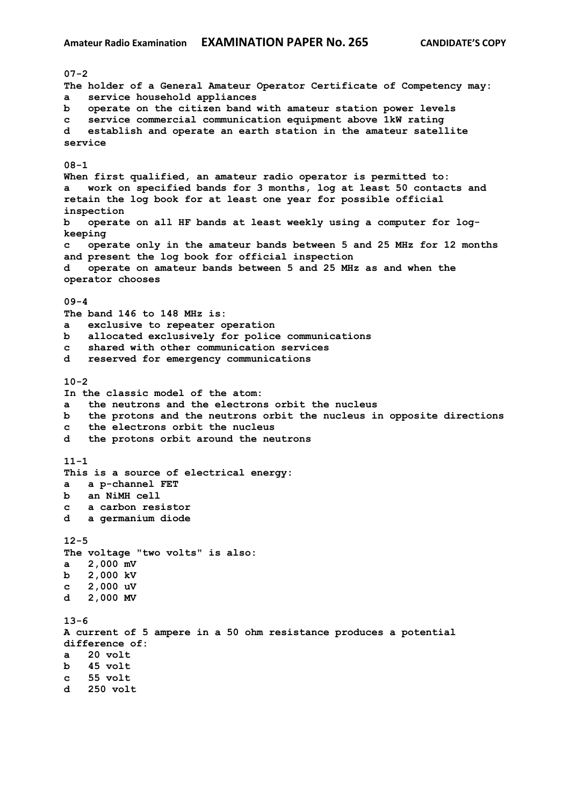**07-2 The holder of a General Amateur Operator Certificate of Competency may: a service household appliances b operate on the citizen band with amateur station power levels c service commercial communication equipment above 1kW rating d establish and operate an earth station in the amateur satellite service 08-1 When first qualified, an amateur radio operator is permitted to: a work on specified bands for 3 months, log at least 50 contacts and retain the log book for at least one year for possible official inspection b operate on all HF bands at least weekly using a computer for logkeeping c operate only in the amateur bands between 5 and 25 MHz for 12 months and present the log book for official inspection d operate on amateur bands between 5 and 25 MHz as and when the operator chooses 09-4 The band 146 to 148 MHz is: a exclusive to repeater operation b allocated exclusively for police communications c shared with other communication services d reserved for emergency communications 10-2 In the classic model of the atom: a the neutrons and the electrons orbit the nucleus b the protons and the neutrons orbit the nucleus in opposite directions c the electrons orbit the nucleus d the protons orbit around the neutrons 11-1 This is a source of electrical energy: a a p-channel FET b an NiMH cell c a carbon resistor d a germanium diode 12-5 The voltage "two volts" is also: a 2,000 mV b 2,000 kV c 2,000 uV d 2,000 MV 13-6 A current of 5 ampere in a 50 ohm resistance produces a potential difference of: a 20 volt b 45 volt c 55 volt d 250 volt**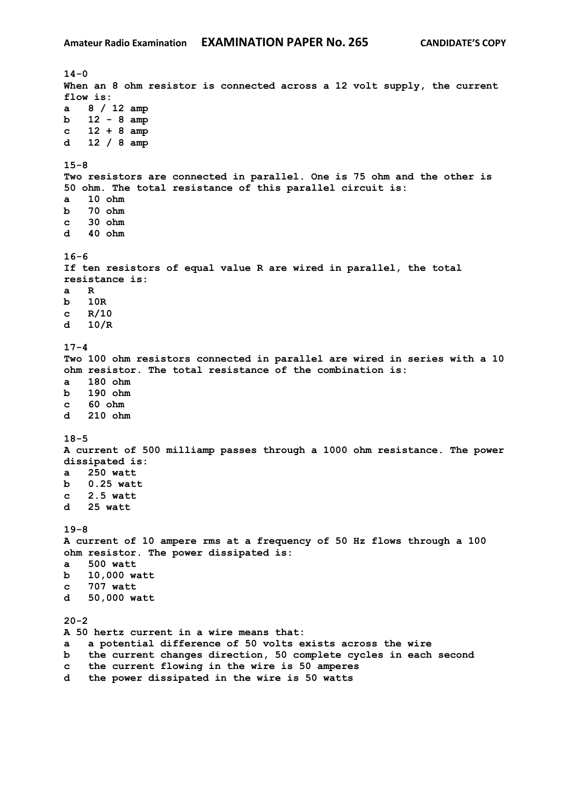**14-0 When an 8 ohm resistor is connected across a 12 volt supply, the current flow is: a 8 / 12 amp b 12 - 8 amp c 12 + 8 amp d 12 / 8 amp 15-8 Two resistors are connected in parallel. One is 75 ohm and the other is 50 ohm. The total resistance of this parallel circuit is: a 10 ohm b 70 ohm c 30 ohm d 40 ohm 16-6 If ten resistors of equal value R are wired in parallel, the total resistance is: a R b 10R c R/10 d 10/R 17-4 Two 100 ohm resistors connected in parallel are wired in series with a 10 ohm resistor. The total resistance of the combination is: a 180 ohm b 190 ohm c 60 ohm d 210 ohm 18-5 A current of 500 milliamp passes through a 1000 ohm resistance. The power dissipated is: a 250 watt b 0.25 watt c 2.5 watt d 25 watt 19-8 A current of 10 ampere rms at a frequency of 50 Hz flows through a 100 ohm resistor. The power dissipated is: a 500 watt b 10,000 watt c 707 watt d 50,000 watt 20-2 A 50 hertz current in a wire means that: a a potential difference of 50 volts exists across the wire b the current changes direction, 50 complete cycles in each second c the current flowing in the wire is 50 amperes d the power dissipated in the wire is 50 watts**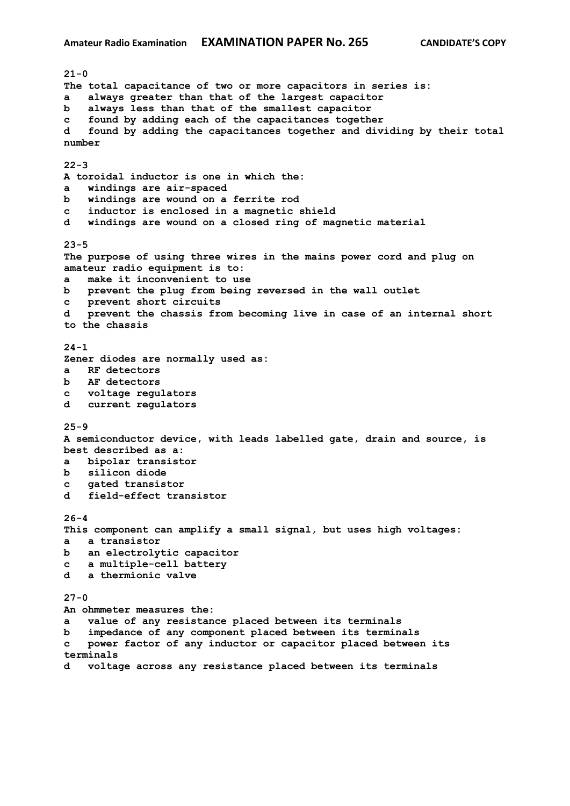**21-0 The total capacitance of two or more capacitors in series is: a always greater than that of the largest capacitor b always less than that of the smallest capacitor c found by adding each of the capacitances together d found by adding the capacitances together and dividing by their total number 22-3 A toroidal inductor is one in which the: a windings are air-spaced b windings are wound on a ferrite rod c inductor is enclosed in a magnetic shield d windings are wound on a closed ring of magnetic material 23-5 The purpose of using three wires in the mains power cord and plug on amateur radio equipment is to: a make it inconvenient to use b prevent the plug from being reversed in the wall outlet c prevent short circuits d prevent the chassis from becoming live in case of an internal short to the chassis 24-1 Zener diodes are normally used as: a RF detectors b AF detectors c voltage regulators d current regulators 25-9 A semiconductor device, with leads labelled gate, drain and source, is best described as a: a bipolar transistor b silicon diode c gated transistor d field-effect transistor 26-4 This component can amplify a small signal, but uses high voltages: a a transistor b an electrolytic capacitor c a multiple-cell battery d a thermionic valve 27-0 An ohmmeter measures the: a value of any resistance placed between its terminals b impedance of any component placed between its terminals c power factor of any inductor or capacitor placed between its terminals d voltage across any resistance placed between its terminals**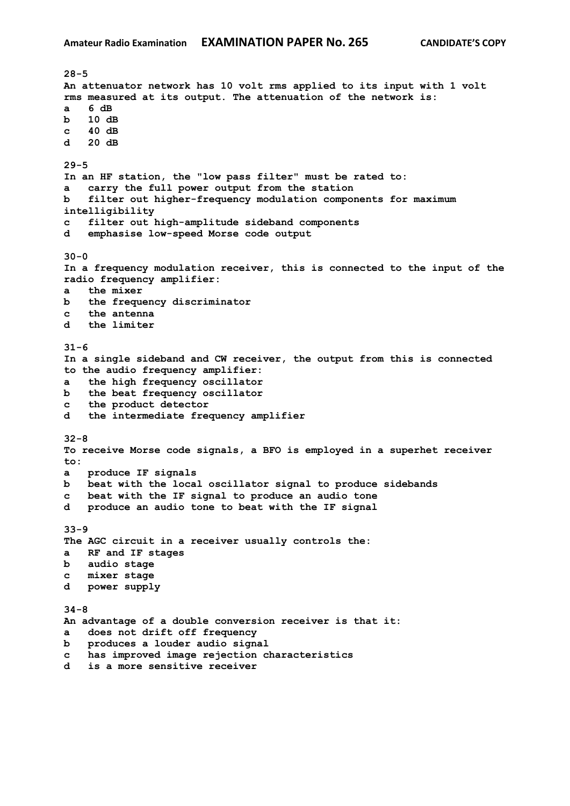**28-5 An attenuator network has 10 volt rms applied to its input with 1 volt rms measured at its output. The attenuation of the network is: a 6 dB b 10 dB c 40 dB d 20 dB 29-5 In an HF station, the "low pass filter" must be rated to: a carry the full power output from the station b filter out higher-frequency modulation components for maximum intelligibility c filter out high-amplitude sideband components d emphasise low-speed Morse code output 30-0 In a frequency modulation receiver, this is connected to the input of the radio frequency amplifier: a the mixer b the frequency discriminator c the antenna d the limiter 31-6 In a single sideband and CW receiver, the output from this is connected to the audio frequency amplifier: a the high frequency oscillator b the beat frequency oscillator c the product detector d the intermediate frequency amplifier 32-8 To receive Morse code signals, a BFO is employed in a superhet receiver to: a produce IF signals b beat with the local oscillator signal to produce sidebands c beat with the IF signal to produce an audio tone d produce an audio tone to beat with the IF signal 33-9 The AGC circuit in a receiver usually controls the: a RF and IF stages b audio stage c mixer stage d power supply 34-8 An advantage of a double conversion receiver is that it: a does not drift off frequency b produces a louder audio signal c has improved image rejection characteristics d is a more sensitive receiver**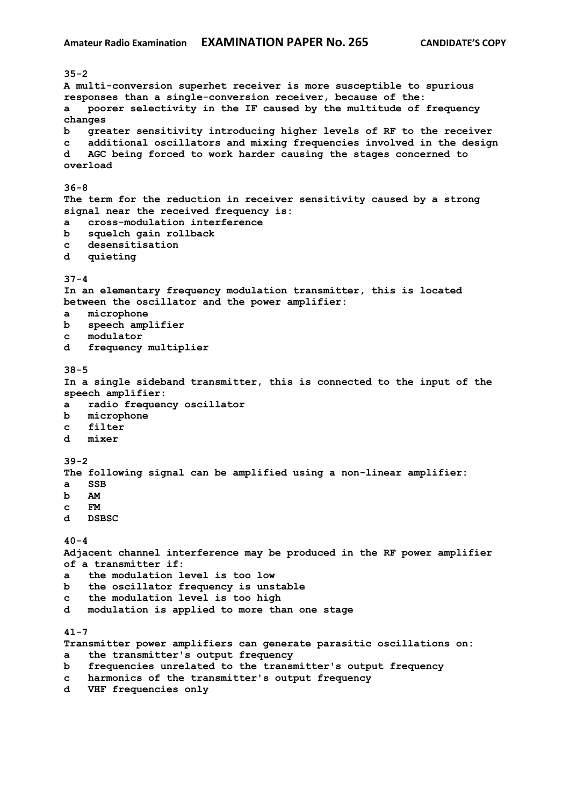**35-2 A multi-conversion superhet receiver is more susceptible to spurious responses than a single-conversion receiver, because of the: a poorer selectivity in the IF caused by the multitude of frequency changes b greater sensitivity introducing higher levels of RF to the receiver c additional oscillators and mixing frequencies involved in the design d AGC being forced to work harder causing the stages concerned to overload 36-8 The term for the reduction in receiver sensitivity caused by a strong signal near the received frequency is: a cross-modulation interference b squelch gain rollback c desensitisation d quieting 37-4 In an elementary frequency modulation transmitter, this is located between the oscillator and the power amplifier: a microphone b speech amplifier c modulator d frequency multiplier 38-5 In a single sideband transmitter, this is connected to the input of the speech amplifier: a radio frequency oscillator b microphone c filter d mixer 39-2 The following signal can be amplified using a non-linear amplifier: a SSB b AM c FM d DSBSC 40-4 Adjacent channel interference may be produced in the RF power amplifier of a transmitter if: a the modulation level is too low b the oscillator frequency is unstable c the modulation level is too high d modulation is applied to more than one stage 41-7 Transmitter power amplifiers can generate parasitic oscillations on: a the transmitter's output frequency b frequencies unrelated to the transmitter's output frequency c harmonics of the transmitter's output frequency**

**d VHF frequencies only**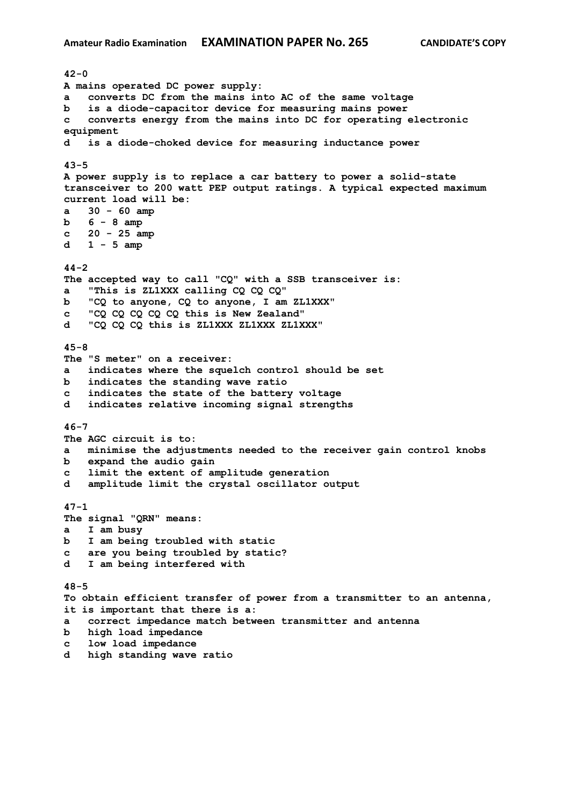**42-0 A mains operated DC power supply: a converts DC from the mains into AC of the same voltage b is a diode-capacitor device for measuring mains power c converts energy from the mains into DC for operating electronic equipment d is a diode-choked device for measuring inductance power 43-5 A power supply is to replace a car battery to power a solid-state transceiver to 200 watt PEP output ratings. A typical expected maximum current load will be: a 30 - 60 amp b 6 - 8 amp c 20 - 25 amp d 1 - 5 amp 44-2 The accepted way to call "CQ" with a SSB transceiver is: a "This is ZL1XXX calling CQ CQ CQ" b "CQ to anyone, CQ to anyone, I am ZL1XXX" c "CQ CQ CQ CQ CQ this is New Zealand" d "CQ CQ CQ this is ZL1XXX ZL1XXX ZL1XXX" 45-8 The "S meter" on a receiver: a indicates where the squelch control should be set b indicates the standing wave ratio c indicates the state of the battery voltage d indicates relative incoming signal strengths 46-7 The AGC circuit is to: a minimise the adjustments needed to the receiver gain control knobs b expand the audio gain c limit the extent of amplitude generation d amplitude limit the crystal oscillator output 47-1 The signal "QRN" means: a I am busy b I am being troubled with static c are you being troubled by static? d I am being interfered with 48-5 To obtain efficient transfer of power from a transmitter to an antenna, it is important that there is a: a correct impedance match between transmitter and antenna b high load impedance c low load impedance d high standing wave ratio**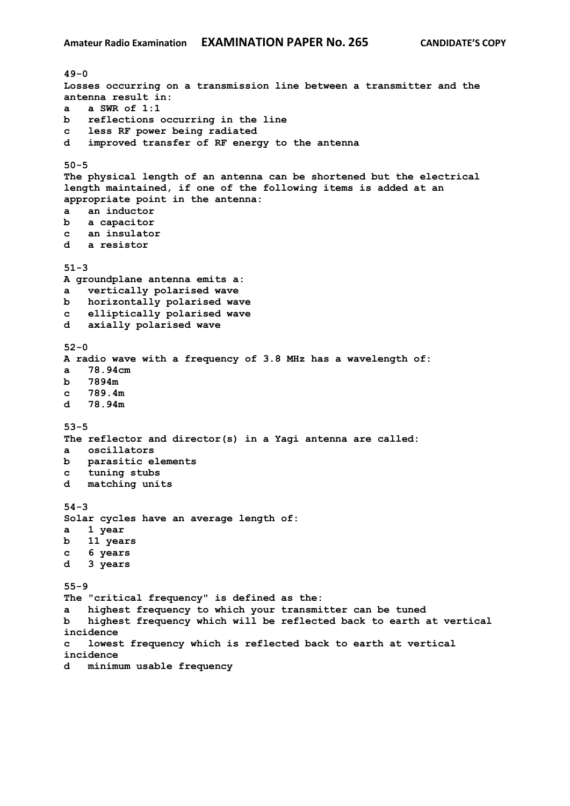**49-0 Losses occurring on a transmission line between a transmitter and the antenna result in: a a SWR of 1:1 b reflections occurring in the line c less RF power being radiated d improved transfer of RF energy to the antenna 50-5 The physical length of an antenna can be shortened but the electrical length maintained, if one of the following items is added at an appropriate point in the antenna: a an inductor b a capacitor c an insulator d a resistor 51-3 A groundplane antenna emits a: a vertically polarised wave b horizontally polarised wave c elliptically polarised wave d axially polarised wave 52-0 A radio wave with a frequency of 3.8 MHz has a wavelength of: a 78.94cm b 7894m c 789.4m d 78.94m 53-5 The reflector and director(s) in a Yagi antenna are called: a oscillators b parasitic elements c tuning stubs d matching units 54-3 Solar cycles have an average length of: a 1 year b 11 years c 6 years d 3 years 55-9 The "critical frequency" is defined as the: a highest frequency to which your transmitter can be tuned b highest frequency which will be reflected back to earth at vertical incidence c lowest frequency which is reflected back to earth at vertical incidence d minimum usable frequency**